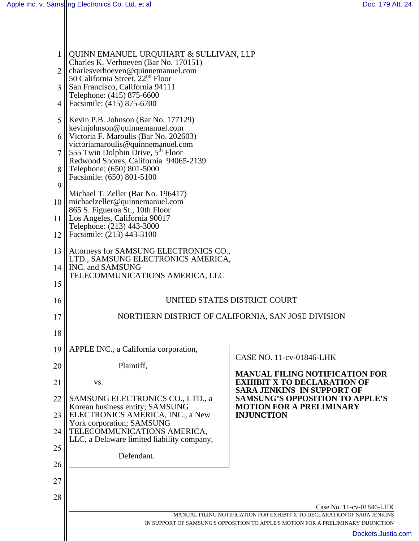| 1              | QUINN EMANUEL URQUHART & SULLIVAN, LLP<br>Charles K. Verhoeven (Bar No. 170151)                         |                                                                                                                  |  |
|----------------|---------------------------------------------------------------------------------------------------------|------------------------------------------------------------------------------------------------------------------|--|
| $\overline{2}$ | charlesverhoeven@quinnemanuel.com<br>50 California Street, $22nd$ Floor                                 |                                                                                                                  |  |
| 3              | San Francisco, California 94111<br>Telephone: (415) 875-6600                                            |                                                                                                                  |  |
| $\overline{4}$ | Facsimile: (415) 875-6700                                                                               |                                                                                                                  |  |
| 5              | Kevin P.B. Johnson (Bar No. 177129)                                                                     |                                                                                                                  |  |
| 6              | kevinjohnson@quinnemanuel.com<br>Victoria F. Maroulis (Bar No. 202603)                                  |                                                                                                                  |  |
|                | victoriamaroulis@quinnemanuel.com<br>555 Twin Dolphin Drive, 5 <sup>th</sup> Floor                      |                                                                                                                  |  |
| 8              | Redwood Shores, California 94065-2139<br>Telephone: (650) 801-5000                                      |                                                                                                                  |  |
| 9              | Facsimile: (650) 801-5100                                                                               |                                                                                                                  |  |
| 10             | Michael T. Zeller (Bar No. 196417)<br>$\ $ michaelzeller@quinnemanuel.com                               |                                                                                                                  |  |
| 11             | 865 S. Figueroa St., 10th Floor<br>Los Angeles, California 90017                                        |                                                                                                                  |  |
| 12             | Telephone: (213) 443-3000<br>Facsimile: (213) 443-3100                                                  |                                                                                                                  |  |
| 13             | Attorneys for SAMSUNG ELECTRONICS CO.,<br>LTD., SAMSUNG ELECTRONICS AMERICA,                            |                                                                                                                  |  |
| 14             | INC. and SAMSUNG                                                                                        |                                                                                                                  |  |
| 15             | TELECOMMUNICATIONS AMERICA, LLC                                                                         |                                                                                                                  |  |
| 16             | UNITED STATES DISTRICT COURT                                                                            |                                                                                                                  |  |
| 17             | NORTHERN DISTRICT OF CALIFORNIA, SAN JOSE DIVISION                                                      |                                                                                                                  |  |
| 18             |                                                                                                         |                                                                                                                  |  |
| 19             | APPLE INC., a California corporation,                                                                   |                                                                                                                  |  |
| 20             | Plaintiff,                                                                                              | CASE NO. 11-cv-01846-LHK                                                                                         |  |
| 21             | VS.                                                                                                     | <b>MANUAL FILING NOTIFICATION FOR</b><br><b>EXHIBIT X TO DECLARATION OF</b><br><b>SARA JENKINS IN SUPPORT OF</b> |  |
| 22<br>23       | SAMSUNG ELECTRONICS CO., LTD., a<br>Korean business entity; SAMSUNG<br>ELECTRONICS AMERICA, INC., a New | <b>SAMSUNG'S OPPOSITION TO APPLE'S</b><br><b>MOTION FOR A PRELIMINARY</b>                                        |  |
|                | York corporation; SAMSUNG                                                                               | <b>INJUNCTION</b>                                                                                                |  |
| 24             | TELECOMMUNICATIONS AMERICA,<br>LLC, a Delaware limited liability company,                               |                                                                                                                  |  |
| 25             | Defendant.                                                                                              |                                                                                                                  |  |
| 26             |                                                                                                         |                                                                                                                  |  |
| 27             |                                                                                                         |                                                                                                                  |  |
| 28             |                                                                                                         |                                                                                                                  |  |
|                |                                                                                                         | Case No. 11-cv-01846-LHK<br>MANUAL FILING NOTIFICATION FOR EXHIBIT X TO DECLARATION OF SARA JENKINS              |  |
|                |                                                                                                         | IN SUPPORT OF SAMSUNG'S OPPOSITION TO APPLE'S MOTION FOR A PRELIMINARY INJUNCTION<br>Dockets.Justia.com          |  |
|                |                                                                                                         |                                                                                                                  |  |